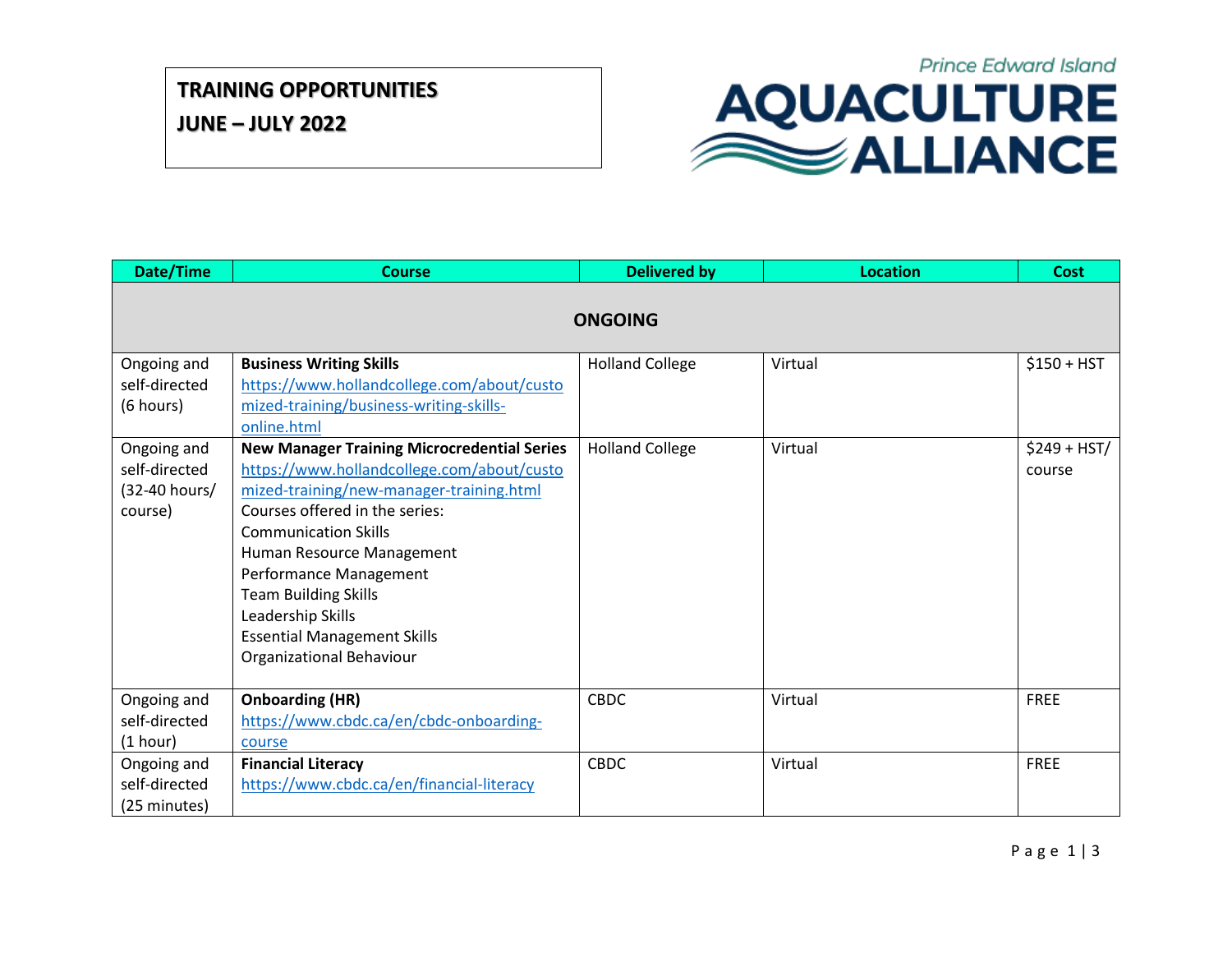**JUNE – JULY 2022**



| Date/Time                                                | <b>Course</b>                                                                                                                                                                                                                                                                                                                                                                              | <b>Delivered by</b>    | <b>Location</b> | <b>Cost</b>             |  |  |  |  |
|----------------------------------------------------------|--------------------------------------------------------------------------------------------------------------------------------------------------------------------------------------------------------------------------------------------------------------------------------------------------------------------------------------------------------------------------------------------|------------------------|-----------------|-------------------------|--|--|--|--|
| <b>ONGOING</b>                                           |                                                                                                                                                                                                                                                                                                                                                                                            |                        |                 |                         |  |  |  |  |
| Ongoing and<br>self-directed<br>(6 hours)                | <b>Business Writing Skills</b><br>https://www.hollandcollege.com/about/custo<br>mized-training/business-writing-skills-<br>online.html                                                                                                                                                                                                                                                     | <b>Holland College</b> | Virtual         | $$150 + HST$            |  |  |  |  |
| Ongoing and<br>self-directed<br>(32-40 hours/<br>course) | <b>New Manager Training Microcredential Series</b><br>https://www.hollandcollege.com/about/custo<br>mized-training/new-manager-training.html<br>Courses offered in the series:<br><b>Communication Skills</b><br>Human Resource Management<br>Performance Management<br><b>Team Building Skills</b><br>Leadership Skills<br><b>Essential Management Skills</b><br>Organizational Behaviour | <b>Holland College</b> | Virtual         | $$249 + HST/$<br>course |  |  |  |  |
| Ongoing and<br>self-directed<br>(1 hour)                 | <b>Onboarding (HR)</b><br>https://www.cbdc.ca/en/cbdc-onboarding-<br>course                                                                                                                                                                                                                                                                                                                | <b>CBDC</b>            | Virtual         | <b>FREE</b>             |  |  |  |  |
| Ongoing and<br>self-directed<br>(25 minutes)             | <b>Financial Literacy</b><br>https://www.cbdc.ca/en/financial-literacy                                                                                                                                                                                                                                                                                                                     | <b>CBDC</b>            | Virtual         | FREE                    |  |  |  |  |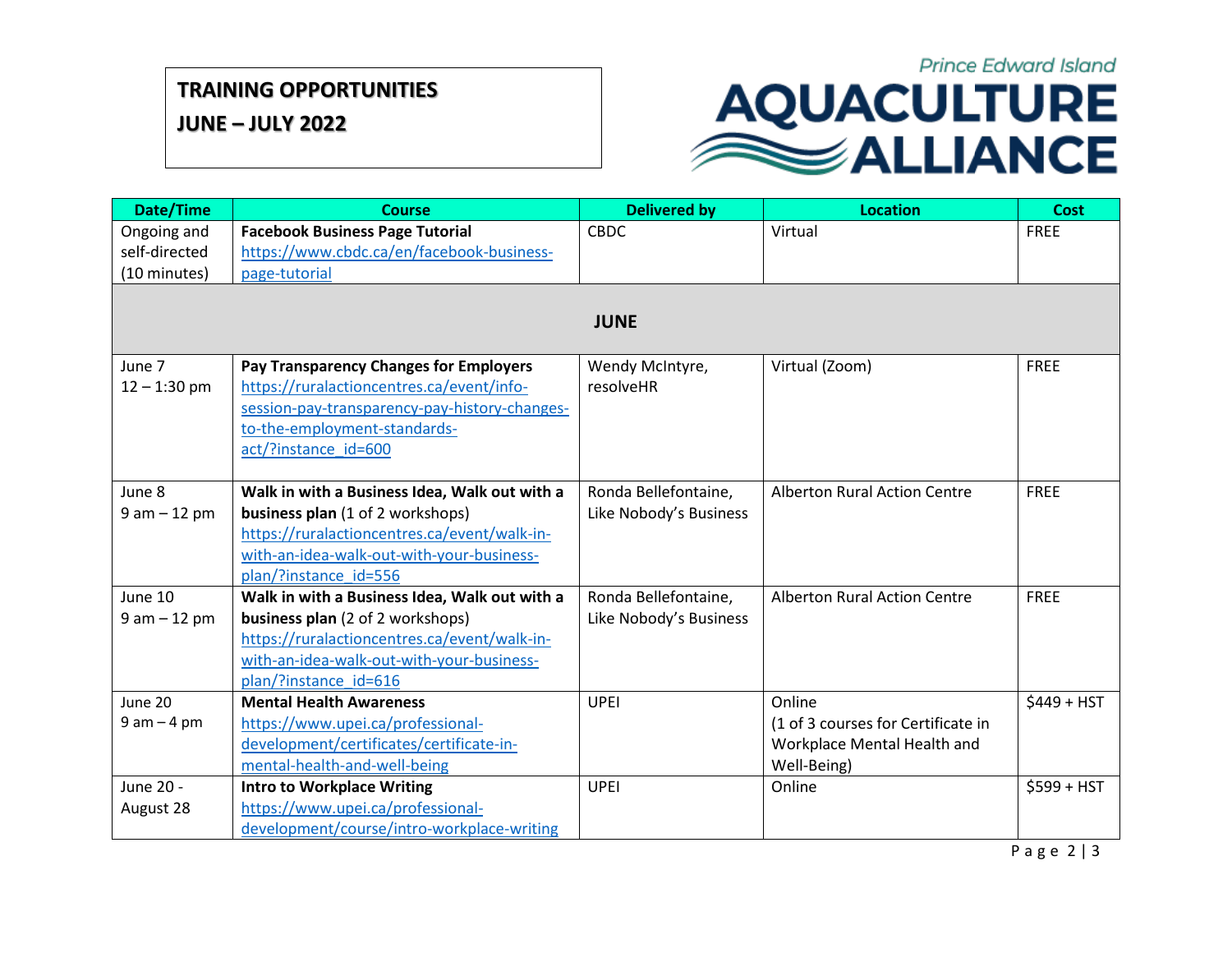## **TRAINING OPPORTUNITIES**

**JUNE – JULY 2022**

## **Prince Edward Island** AQUACULTURE

| Date/Time      | <b>Course</b>                                                                 | <b>Delivered by</b>    | <b>Location</b>                     | <b>Cost</b>  |  |  |  |  |
|----------------|-------------------------------------------------------------------------------|------------------------|-------------------------------------|--------------|--|--|--|--|
| Ongoing and    | <b>Facebook Business Page Tutorial</b>                                        | <b>CBDC</b>            | Virtual                             | <b>FREE</b>  |  |  |  |  |
| self-directed  | https://www.cbdc.ca/en/facebook-business-                                     |                        |                                     |              |  |  |  |  |
| (10 minutes)   | page-tutorial                                                                 |                        |                                     |              |  |  |  |  |
|                |                                                                               |                        |                                     |              |  |  |  |  |
| <b>JUNE</b>    |                                                                               |                        |                                     |              |  |  |  |  |
|                |                                                                               |                        |                                     |              |  |  |  |  |
| June 7         | Pay Transparency Changes for Employers                                        | Wendy McIntyre,        | Virtual (Zoom)                      | <b>FREE</b>  |  |  |  |  |
| $12 - 1:30$ pm | https://ruralactioncentres.ca/event/info-                                     | resolveHR              |                                     |              |  |  |  |  |
|                | session-pay-transparency-pay-history-changes-                                 |                        |                                     |              |  |  |  |  |
|                | to-the-employment-standards-                                                  |                        |                                     |              |  |  |  |  |
|                | act/?instance id=600                                                          |                        |                                     |              |  |  |  |  |
|                |                                                                               |                        |                                     |              |  |  |  |  |
| June 8         | Walk in with a Business Idea, Walk out with a                                 | Ronda Bellefontaine,   | <b>Alberton Rural Action Centre</b> | <b>FREE</b>  |  |  |  |  |
| $9 am - 12 pm$ | business plan (1 of 2 workshops)                                              | Like Nobody's Business |                                     |              |  |  |  |  |
|                | https://ruralactioncentres.ca/event/walk-in-                                  |                        |                                     |              |  |  |  |  |
|                | with-an-idea-walk-out-with-your-business-                                     |                        |                                     |              |  |  |  |  |
|                | plan/?instance id=556                                                         |                        |                                     |              |  |  |  |  |
| June 10        | Walk in with a Business Idea, Walk out with a                                 | Ronda Bellefontaine,   | <b>Alberton Rural Action Centre</b> | <b>FREE</b>  |  |  |  |  |
| $9 am - 12 pm$ | business plan (2 of 2 workshops)                                              | Like Nobody's Business |                                     |              |  |  |  |  |
|                | https://ruralactioncentres.ca/event/walk-in-                                  |                        |                                     |              |  |  |  |  |
|                | with-an-idea-walk-out-with-your-business-                                     |                        |                                     |              |  |  |  |  |
| June 20        | plan/?instance id=616<br><b>Mental Health Awareness</b>                       | <b>UPEI</b>            | Online                              |              |  |  |  |  |
| $9 am - 4 pm$  |                                                                               |                        | (1 of 3 courses for Certificate in  | $$449 + HST$ |  |  |  |  |
|                | https://www.upei.ca/professional-<br>development/certificates/certificate-in- |                        | Workplace Mental Health and         |              |  |  |  |  |
|                | mental-health-and-well-being                                                  |                        | Well-Being)                         |              |  |  |  |  |
| June 20 -      | <b>Intro to Workplace Writing</b>                                             | <b>UPEI</b>            | Online                              | $$599 + HST$ |  |  |  |  |
| August 28      | https://www.upei.ca/professional-                                             |                        |                                     |              |  |  |  |  |
|                | development/course/intro-workplace-writing                                    |                        |                                     |              |  |  |  |  |
|                |                                                                               |                        |                                     |              |  |  |  |  |